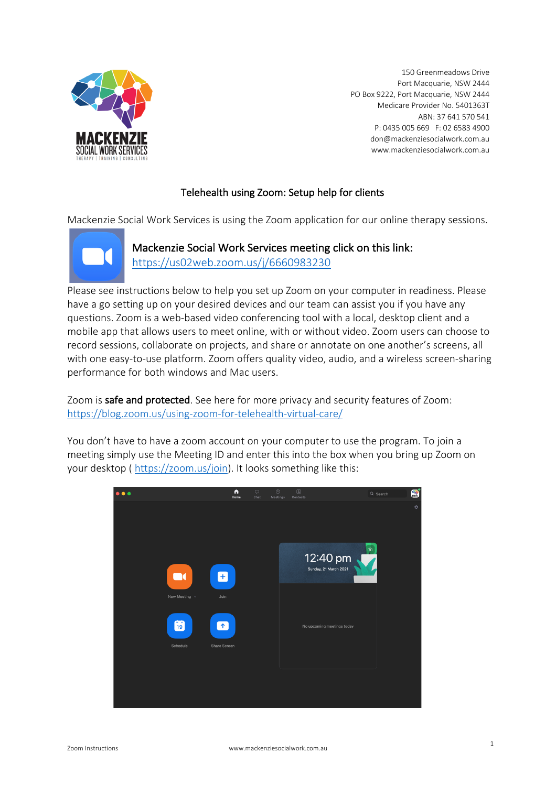

150 Greenmeadows Drive Port Macquarie, NSW 2444 PO Box 9222, Port Macquarie, NSW 2444 Medicare Provider No. 5401363T ABN: 37 641 570 541 P: 0435 005 669 F: 02 6583 4900 don@mackenziesocialwork.com.au www.mackenziesocialwork.com.au

#### Telehealth using Zoom: Setup help for clients

Mackenzie Social Work Services is using the Zoom application for our online therapy sessions.



Mackenzie Social Work Services meeting click on this link: https://us02web.zoom.us/j/6660983230

Please see instructions below to help you set up Zoom on your computer in readiness. Please have a go setting up on your desired devices and our team can assist you if you have any questions. Zoom is a web-based video conferencing tool with a local, desktop client and a mobile app that allows users to meet online, with or without video. Zoom users can choose to record sessions, collaborate on projects, and share or annotate on one another's screens, all with one easy-to-use platform. Zoom offers quality video, audio, and a wireless screen-sharing performance for both windows and Mac users.

Zoom is safe and protected. See here for more privacy and security features of Zoom: https://blog.zoom.us/using-zoom-for-telehealth-virtual-care/

You don't have to have a zoom account on your computer to use the program. To join a meeting simply use the Meeting ID and enter this into the box when you bring up Zoom on your desktop ( https://zoom.us/join). It looks something like this:

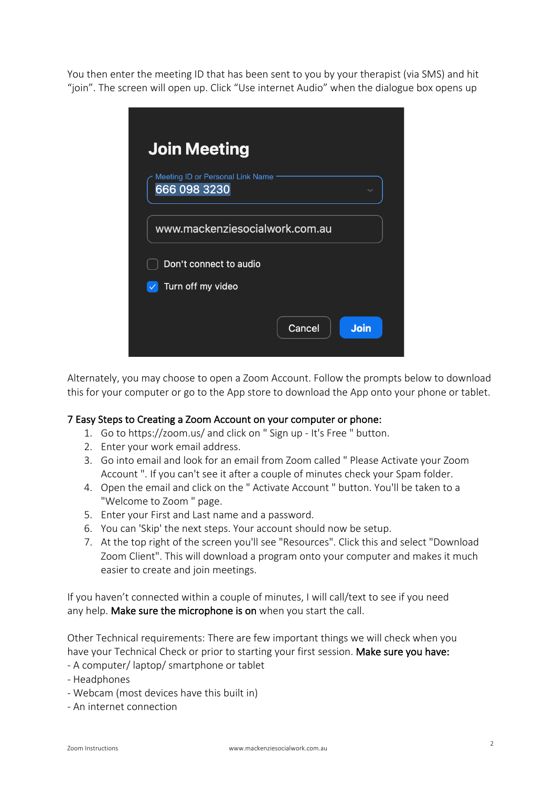You then enter the meeting ID that has been sent to you by your therapist (via SMS) and hit "join". The screen will open up. Click "Use internet Audio" when the dialogue box opens up



Alternately, you may choose to open a Zoom Account. Follow the prompts below to download this for your computer or go to the App store to download the App onto your phone or tablet.

#### 7 Easy Steps to Creating a Zoom Account on your computer or phone:

- 1. Go to https://zoom.us/ and click on " Sign up It's Free " button.
- 2. Enter your work email address.
- 3. Go into email and look for an email from Zoom called " Please Activate your Zoom Account ". If you can't see it after a couple of minutes check your Spam folder.
- 4. Open the email and click on the " Activate Account " button. You'll be taken to a "Welcome to Zoom " page.
- 5. Enter your First and Last name and a password.
- 6. You can 'Skip' the next steps. Your account should now be setup.
- 7. At the top right of the screen you'll see "Resources". Click this and select "Download Zoom Client". This will download a program onto your computer and makes it much easier to create and join meetings.

If you haven't connected within a couple of minutes, I will call/text to see if you need any help. Make sure the microphone is on when you start the call.

Other Technical requirements: There are few important things we will check when you have your Technical Check or prior to starting your first session. Make sure you have:

- A computer/ laptop/ smartphone or tablet
- Headphones
- Webcam (most devices have this built in)
- An internet connection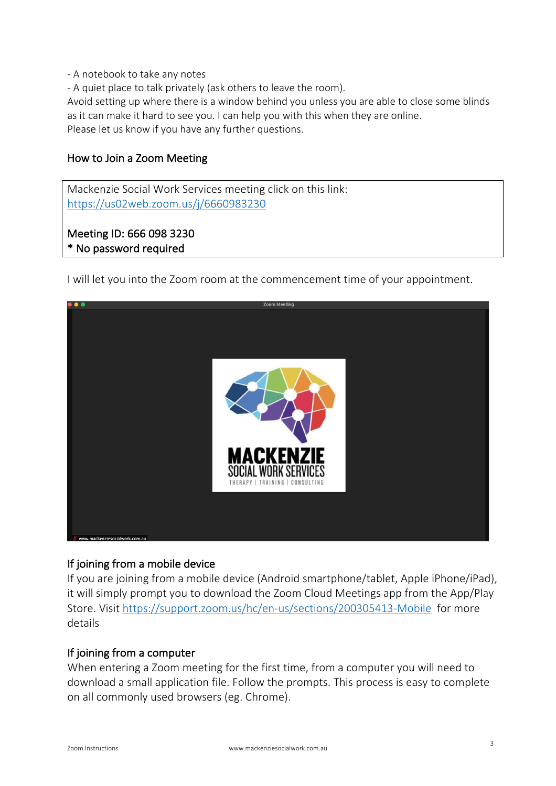- A notebook to take any notes
- A quiet place to talk privately (ask others to leave the room).

Avoid setting up where there is a window behind you unless you are able to close some blinds as it can make it hard to see you. I can help you with this when they are online.

Please let us know if you have any further questions.

## How to Join a Zoom Meeting

Mackenzie Social Work Services meeting click on this link: https://us02web.zoom.us/j/6660983230

# Meeting ID: 666 098 3230 \* No password required

I will let you into the Zoom room at the commencement time of your appointment.



# If joining from a mobile device

If you are joining from a mobile device (Android smartphone/tablet, Apple iPhone/iPad), it will simply prompt you to download the Zoom Cloud Meetings app from the App/Play Store. Visit https://support.zoom.us/hc/en-us/sections/200305413-Mobile for more details

### If joining from a computer

When entering a Zoom meeting for the first time, from a computer you will need to download a small application file. Follow the prompts. This process is easy to complete on all commonly used browsers (eg. Chrome).